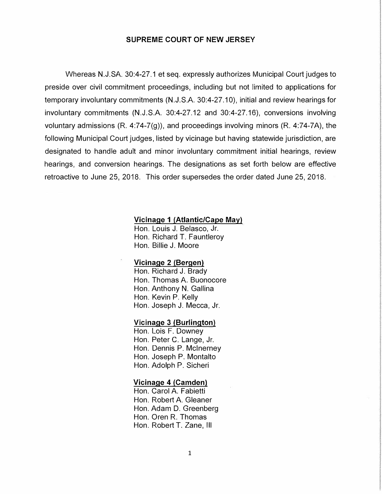#### **SUPREME COURT OF NEW JERSEY**

Whereas N.J.SA. 30:4-27.1 et seq. expressly authorizes Municipal Court judges to preside over civil commitment proceedings, including but not limited to applications for temporary involuntary commitments (N.J.S.A. 30:4-27.10), initial and review hearings for involuntary commitments (N.J.S.A. 30:4-27.12 and 30:4-27.16), conversions involving voluntary admissions (R. 4:74-7(g)), and proceedings involving minors (R. 4:74-7A), the following Municipal Court judges, listed by vicinage but having statewide jurisdiction, are designated to handle adult and minor involuntary commitment initial hearings, review hearings, and conversion hearings. The designations as set forth below are effective retroactive to June 25, 2018. This order supersedes the order dated June 25, 2018.

### **Vicinage 1 (Atlantic/Cape May)**

Hon. Louis J. Belasco, Jr. Hon. Richard T. Fauntleroy Hon. Billie J. Moore

#### **Vicinage 2 (Bergen)**

Hon. Richard J. Brady Hon. Thomas A. Buonocore Hon. Anthony N. Gallina Hon. Kevin P. Kelly Hon. Joseph J. Mecca, Jr.

#### **Vicinage 3 (Burlington)**

Hon. Lois F. Downey Hon. Peter C. Lange, Jr. Hon. Dennis P. Mcinerney Hon. Joseph P. Montalto Hon. Adolph P. Sicheri

## **Vicinage 4 (Camden)**

Hon. Carol A. Fabietti Hon. Robert A. Gleaner Hon. Adam D. Greenberg Hon. Oren R. Thomas Hon. Robert T. Zane, Ill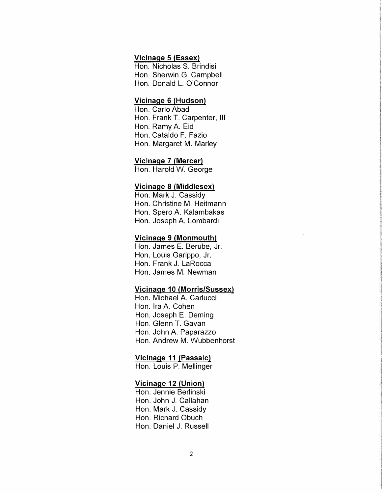# **Vicinage 5 {Essex)**

Hon. Nicholas S. Brindisi Hon. Sherwin G. Campbell Hon. Donald L. O'Connor

## **Vicinage 6 {Hudson)**

Hon. Carlo Abad Hon. Frank T. Carpenter, Ill Hon. Ramy A. Eid Hon. Cataldo F. Fazio Hon. Margaret M. Marley

# **Vicinage 7 {Mercer)**

Hon. Harold W. George

#### **Vicinage 8 {Middlesex)**

Hon. Mark J. Cassidy Hon. Christine M. Heitmann Hon. Spero A. Kalambakas Hon. Joseph A. Lombardi

## **Vicinage 9 {Monmouth)**

Hon. James E. Berube, Jr. Hon. Louis Garippo, Jr. Hon. Frank J. LaRocca Hon. James M. Newman

# **Vicinage 10 {Morris/Sussex)**

Hon. Michael A. Carlucci Hon. Ira A. Cohen Hon. Joseph E. Deming Hon. Glenn T. Gavan Hon. John A. Paparazzo Hon. Andrew M. Wubbenhorst

**International Accessories** 

**Washington** likoloogisteksiinde

#### **Vicinage 11 {Passaic)**

Hon. Louis P. Mellinger

#### **Vicinage 12 {Union)**

Hon. Jennie Berlinski Hon. John J. Callahan Hon. Mark J. Cassidy Hon. Richard Obuch Hon. Daniel J. Russell